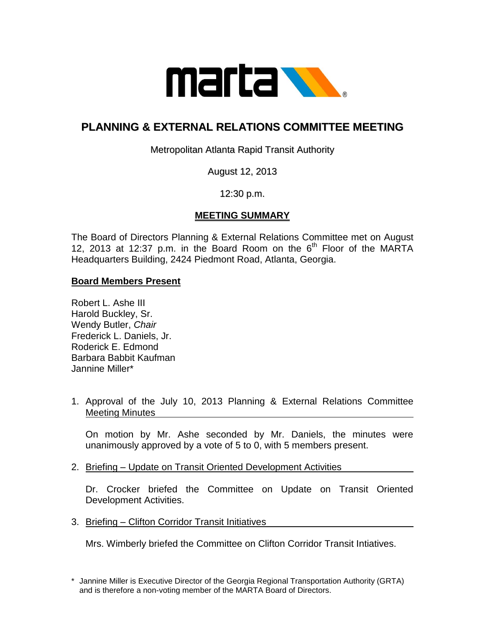

# **PLANNING & EXTERNAL RELATIONS COMMITTEE MEETING**

Metropolitan Atlanta Rapid Transit Authority

August 12, 2013

12:30 p.m.

## **MEETING SUMMARY**

The Board of Directors Planning & External Relations Committee met on August 12, 2013 at 12:37 p.m. in the Board Room on the  $6<sup>th</sup>$  Floor of the MARTA Headquarters Building, 2424 Piedmont Road, Atlanta, Georgia.

#### **Board Members Present**

Robert L. Ashe III Harold Buckley, Sr. Wendy Butler, *Chair* Frederick L. Daniels, Jr. Roderick E. Edmond Barbara Babbit Kaufman Jannine Miller\*

1. Approval of the July 10, 2013 Planning & External Relations Committee Meeting Minutes

On motion by Mr. Ashe seconded by Mr. Daniels, the minutes were unanimously approved by a vote of 5 to 0, with 5 members present.

2. Briefing – Update on Transit Oriented Development Activities

Dr. Crocker briefed the Committee on Update on Transit Oriented Development Activities.

3. Briefing – Clifton Corridor Transit Initiatives

Mrs. Wimberly briefed the Committee on Clifton Corridor Transit Intiatives.

<sup>\*</sup> Jannine Miller is Executive Director of the Georgia Regional Transportation Authority (GRTA) and is therefore a non-voting member of the MARTA Board of Directors.